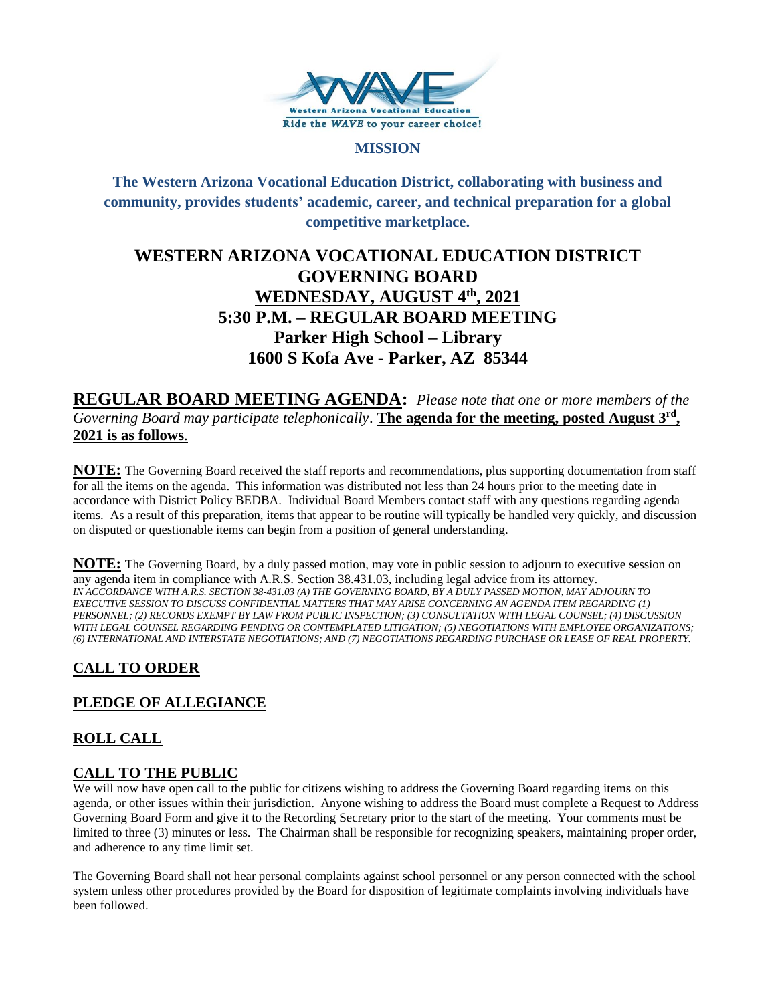

#### **MISSION**

# **The Western Arizona Vocational Education District, collaborating with business and community, provides students' academic, career, and technical preparation for a global competitive marketplace.**

# **WESTERN ARIZONA VOCATIONAL EDUCATION DISTRICT GOVERNING BOARD WEDNESDAY, AUGUST 4th , 2021 5:30 P.M. – REGULAR BOARD MEETING Parker High School – Library 1600 S Kofa Ave - Parker, AZ 85344**

**REGULAR BOARD MEETING AGENDA:** *Please note that one or more members of the Governing Board may participate telephonically*. **The agenda for the meeting, posted August 3rd , 2021 is as follows**.

**NOTE:** The Governing Board received the staff reports and recommendations, plus supporting documentation from staff for all the items on the agenda. This information was distributed not less than 24 hours prior to the meeting date in accordance with District Policy BEDBA. Individual Board Members contact staff with any questions regarding agenda items. As a result of this preparation, items that appear to be routine will typically be handled very quickly, and discussion on disputed or questionable items can begin from a position of general understanding.

**NOTE:** The Governing Board, by a duly passed motion, may vote in public session to adjourn to executive session on any agenda item in compliance with A.R.S. Section 38.431.03, including legal advice from its attorney. *IN ACCORDANCE WITH A.R.S. SECTION 38-431.03 (A) THE GOVERNING BOARD, BY A DULY PASSED MOTION, MAY ADJOURN TO EXECUTIVE SESSION TO DISCUSS CONFIDENTIAL MATTERS THAT MAY ARISE CONCERNING AN AGENDA ITEM REGARDING (1) PERSONNEL; (2) RECORDS EXEMPT BY LAW FROM PUBLIC INSPECTION; (3) CONSULTATION WITH LEGAL COUNSEL; (4) DISCUSSION WITH LEGAL COUNSEL REGARDING PENDING OR CONTEMPLATED LITIGATION; (5) NEGOTIATIONS WITH EMPLOYEE ORGANIZATIONS; (6) INTERNATIONAL AND INTERSTATE NEGOTIATIONS; AND (7) NEGOTIATIONS REGARDING PURCHASE OR LEASE OF REAL PROPERTY.*

# **CALL TO ORDER**

# **PLEDGE OF ALLEGIANCE**

# **ROLL CALL**

## **CALL TO THE PUBLIC**

We will now have open call to the public for citizens wishing to address the Governing Board regarding items on this agenda, or other issues within their jurisdiction. Anyone wishing to address the Board must complete a Request to Address Governing Board Form and give it to the Recording Secretary prior to the start of the meeting. Your comments must be limited to three (3) minutes or less. The Chairman shall be responsible for recognizing speakers, maintaining proper order, and adherence to any time limit set.

The Governing Board shall not hear personal complaints against school personnel or any person connected with the school system unless other procedures provided by the Board for disposition of legitimate complaints involving individuals have been followed.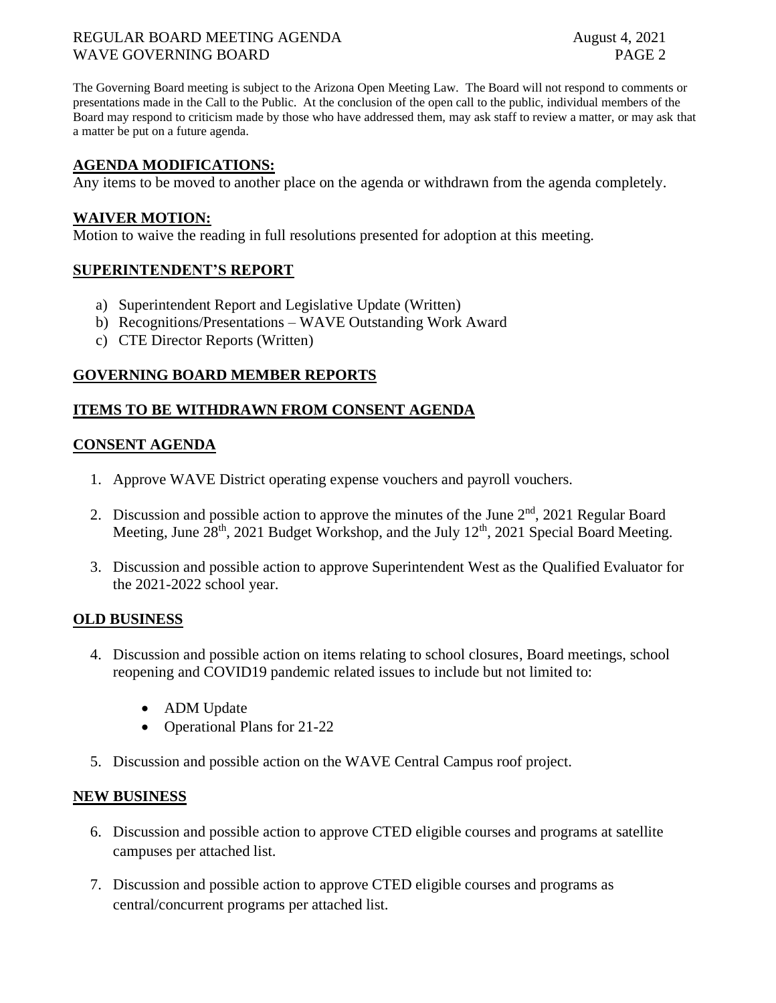### REGULAR BOARD MEETING AGENDA August 4, 2021 WAVE GOVERNING BOARD **PAGE 2**

The Governing Board meeting is subject to the Arizona Open Meeting Law. The Board will not respond to comments or presentations made in the Call to the Public. At the conclusion of the open call to the public, individual members of the Board may respond to criticism made by those who have addressed them, may ask staff to review a matter, or may ask that a matter be put on a future agenda.

## **AGENDA MODIFICATIONS:**

Any items to be moved to another place on the agenda or withdrawn from the agenda completely.

#### **WAIVER MOTION:**

Motion to waive the reading in full resolutions presented for adoption at this meeting.

#### **SUPERINTENDENT'S REPORT**

- a) Superintendent Report and Legislative Update (Written)
- b) Recognitions/Presentations WAVE Outstanding Work Award
- c) CTE Director Reports (Written)

## **GOVERNING BOARD MEMBER REPORTS**

## **ITEMS TO BE WITHDRAWN FROM CONSENT AGENDA**

### **CONSENT AGENDA**

- 1. Approve WAVE District operating expense vouchers and payroll vouchers.
- 2. Discussion and possible action to approve the minutes of the June  $2<sup>nd</sup>$ , 2021 Regular Board Meeting, June  $28<sup>th</sup>$ , 2021 Budget Workshop, and the July 12<sup>th</sup>, 2021 Special Board Meeting.
- 3. Discussion and possible action to approve Superintendent West as the Qualified Evaluator for the 2021-2022 school year.

#### **OLD BUSINESS**

- 4. Discussion and possible action on items relating to school closures, Board meetings, school reopening and COVID19 pandemic related issues to include but not limited to:
	- ADM Update
	- Operational Plans for 21-22
- 5. Discussion and possible action on the WAVE Central Campus roof project.

#### **NEW BUSINESS**

- 6. Discussion and possible action to approve CTED eligible courses and programs at satellite campuses per attached list.
- 7. Discussion and possible action to approve CTED eligible courses and programs as central/concurrent programs per attached list.